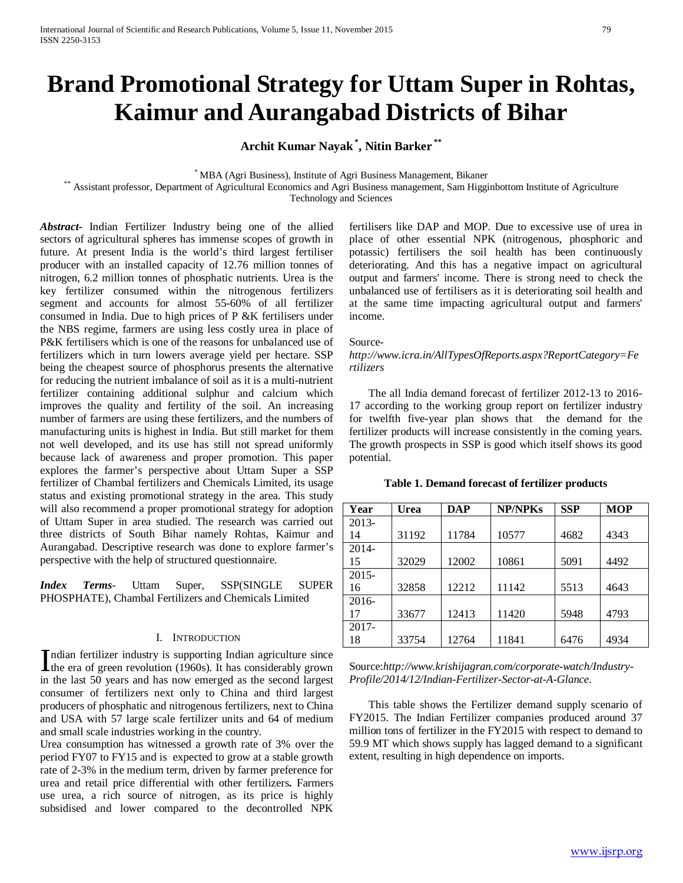# **Brand Promotional Strategy for Uttam Super in Rohtas, Kaimur and Aurangabad Districts of Bihar**

**Archit Kumar Nayak\* , Nitin Barker \*\***

\* MBA (Agri Business), Institute of Agri Business Management, Bikaner<br>\*\* Assistant professor, Department of Agricultural Economics and Agri Business management, Sam Higginbottom Institute of Agriculture Technology and Sciences

*Abstract***-** Indian Fertilizer Industry being one of the allied sectors of agricultural spheres has immense scopes of growth in future. At present India is the world's third largest fertiliser producer with an installed capacity of 12.76 million tonnes of nitrogen, 6.2 million tonnes of phosphatic nutrients. Urea is the key fertilizer consumed within the nitrogenous fertilizers segment and accounts for almost 55-60% of all fertilizer consumed in India. Due to high prices of P &K fertilisers under the NBS regime, farmers are using less costly urea in place of P&K fertilisers which is one of the reasons for unbalanced use of fertilizers which in turn lowers average yield per hectare. SSP being the cheapest source of phosphorus presents the alternative for reducing the nutrient imbalance of soil as it is a multi-nutrient fertilizer containing additional sulphur and calcium which improves the quality and fertility of the soil. An increasing number of farmers are using these fertilizers, and the numbers of manufacturing units is highest in India. But still market for them not well developed, and its use has still not spread uniformly because lack of awareness and proper promotion. This paper explores the farmer's perspective about Uttam Super a SSP fertilizer of Chambal fertilizers and Chemicals Limited, its usage status and existing promotional strategy in the area. This study will also recommend a proper promotional strategy for adoption of Uttam Super in area studied. The research was carried out three districts of South Bihar namely Rohtas, Kaimur and Aurangabad. Descriptive research was done to explore farmer's perspective with the help of structured questionnaire.

*Index Terms*- Uttam Super, SSP(SINGLE SUPER PHOSPHATE), Chambal Fertilizers and Chemicals Limited

# I. INTRODUCTION

ndian fertilizer industry is supporting Indian agriculture since Indian fertilizer industry is supporting Indian agriculture since<br>the era of green revolution (1960s). It has considerably grown in the last 50 years and has now emerged as the second largest consumer of fertilizers next only to China and third largest producers of phosphatic and nitrogenous fertilizers, next to China and USA with 57 large scale fertilizer units and 64 of medium and small scale industries working in the country.

Urea consumption has witnessed a growth rate of 3% over the period FY07 to FY15 and is expected to grow at a stable growth rate of 2-3% in the medium term, driven by farmer preference for urea and retail price differential with other fertilizers**.** Farmers use urea, a rich source of nitrogen, as its price is highly subsidised and lower compared to the decontrolled NPK fertilisers like DAP and MOP. Due to excessive use of urea in place of other essential NPK (nitrogenous, phosphoric and potassic) fertilisers the soil health has been continuously deteriorating. And this has a negative impact on agricultural output and farmers' income. There is strong need to check the unbalanced use of fertilisers as it is deteriorating soil health and at the same time impacting agricultural output and farmers' income.

## Source*-*

## *http://www.icra.in/AllTypesOfReports.aspx?ReportCategory=Fe rtilizers*

 The all India demand forecast of fertilizer 2012-13 to 2016- 17 according to the working group report on fertilizer industry for twelfth five-year plan shows that the demand for the fertilizer products will increase consistently in the coming years. The growth prospects in SSP is good which itself shows its good potential.

| Year     | <b>Urea</b> | <b>DAP</b> | <b>NP/NPKs</b> | <b>SSP</b> | <b>MOP</b> |
|----------|-------------|------------|----------------|------------|------------|
| $2013-$  |             |            |                |            |            |
| 14       | 31192       | 11784      | 10577          | 4682       | 4343       |
| 2014-    |             |            |                |            |            |
| 15       | 32029       | 12002      | 10861          | 5091       | 4492       |
| $2015 -$ |             |            |                |            |            |
| 16       | 32858       | 12212      | 11142          | 5513       | 4643       |
| 2016-    |             |            |                |            |            |
| 17       | 33677       | 12413      | 11420          | 5948       | 4793       |
| $2017 -$ |             |            |                |            |            |
| 18       | 33754       | 12764      | 11841          | 6476       | 4934       |

## **Table 1. Demand forecast of fertilizer products**

Source:*http://www.krishijagran.com/corporate-watch/Industry-Profile/2014/12/Indian-Fertilizer-Sector-at-A-Glance*.

 This table shows the Fertilizer demand supply scenario of FY2015. The Indian Fertilizer companies produced around 37 million tons of fertilizer in the FY2015 with respect to demand to 59.9 MT which shows supply has lagged demand to a significant extent, resulting in high dependence on imports.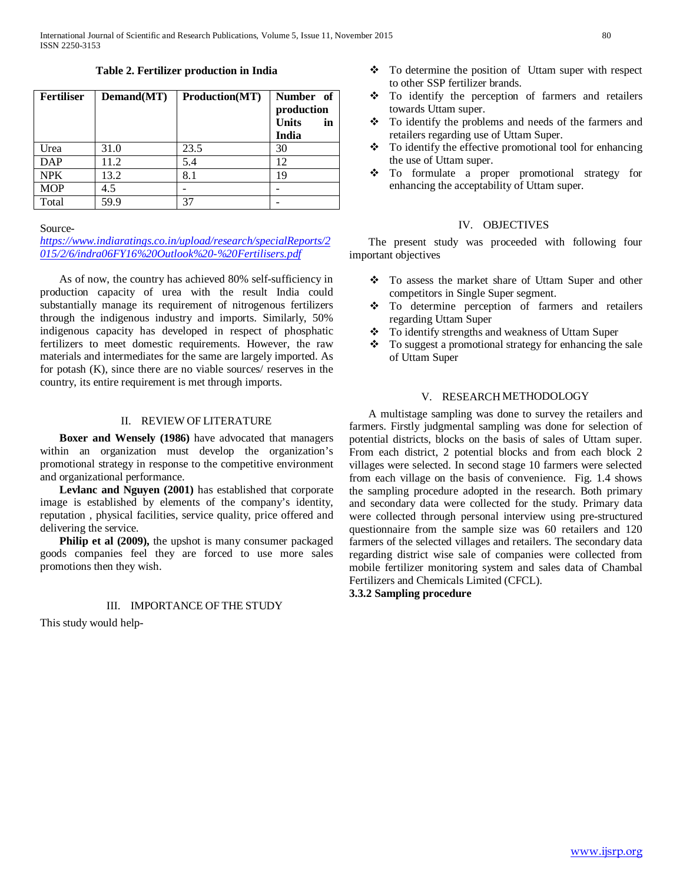**Table 2. Fertilizer production in India**

| <b>Fertiliser</b> | Demand(MT) | <b>Production(MT)</b> | Number of<br>production<br><b>Units</b><br>in<br>India |
|-------------------|------------|-----------------------|--------------------------------------------------------|
| Urea              | 31.0       | 23.5                  | 30                                                     |
| <b>DAP</b>        | 11.2       | 5.4                   | 12                                                     |
| <b>NPK</b>        | 13.2       | 8.1                   | 19                                                     |
| <b>MOP</b>        | 4.5        |                       |                                                        |
| Total             | 59.9       |                       |                                                        |

Source-

*[https://www.indiaratings.co.in/upload/research/specialReports/2](https://www.indiaratings.co.in/upload/research/specialReports/2015/2/6/indra06FY16%20Outlook%20-%20Fertilisers.pdf) [015/2/6/indra06FY16%20Outlook%20-%20Fertilisers.pdf](https://www.indiaratings.co.in/upload/research/specialReports/2015/2/6/indra06FY16%20Outlook%20-%20Fertilisers.pdf)*

 As of now, the country has achieved 80% self-sufficiency in production capacity of urea with the result India could substantially manage its requirement of nitrogenous fertilizers through the indigenous industry and imports. Similarly, 50% indigenous capacity has developed in respect of phosphatic fertilizers to meet domestic requirements. However, the raw materials and intermediates for the same are largely imported. As for potash (K), since there are no viable sources/ reserves in the country, its entire requirement is met through imports.

# II. REVIEW OF LITERATURE

 **Boxer and Wensely (1986)** have advocated that managers within an organization must develop the organization's promotional strategy in response to the competitive environment and organizational performance.

 **Levlanc and Nguyen (2001)** has established that corporate image is established by elements of the company's identity, reputation , physical facilities, service quality, price offered and delivering the service.

 **Philip et al (2009),** the upshot is many consumer packaged goods companies feel they are forced to use more sales promotions then they wish.

## III. IMPORTANCE OF THE STUDY

This study would help-

- To determine the position of Uttam super with respect to other SSP fertilizer brands.
- To identify the perception of farmers and retailers towards Uttam super.
- \* To identify the problems and needs of the farmers and retailers regarding use of Uttam Super.
- $\bullet$  To identify the effective promotional tool for enhancing the use of Uttam super.
- To formulate a proper promotional strategy for enhancing the acceptability of Uttam super.

## IV. OBJECTIVES

 The present study was proceeded with following four important objectives

- To assess the market share of Uttam Super and other competitors in Single Super segment.
- To determine perception of farmers and retailers regarding Uttam Super
- To identify strengths and weakness of Uttam Super
- To suggest a promotional strategy for enhancing the sale of Uttam Super

## V. RESEARCH METHODOLOGY

 A multistage sampling was done to survey the retailers and farmers. Firstly judgmental sampling was done for selection of potential districts, blocks on the basis of sales of Uttam super. From each district, 2 potential blocks and from each block 2 villages were selected. In second stage 10 farmers were selected from each village on the basis of convenience. Fig. 1.4 shows the sampling procedure adopted in the research. Both primary and secondary data were collected for the study. Primary data were collected through personal interview using pre-structured questionnaire from the sample size was 60 retailers and 120 farmers of the selected villages and retailers. The secondary data regarding district wise sale of companies were collected from mobile fertilizer monitoring system and sales data of Chambal Fertilizers and Chemicals Limited (CFCL).

**3.3.2 Sampling procedure**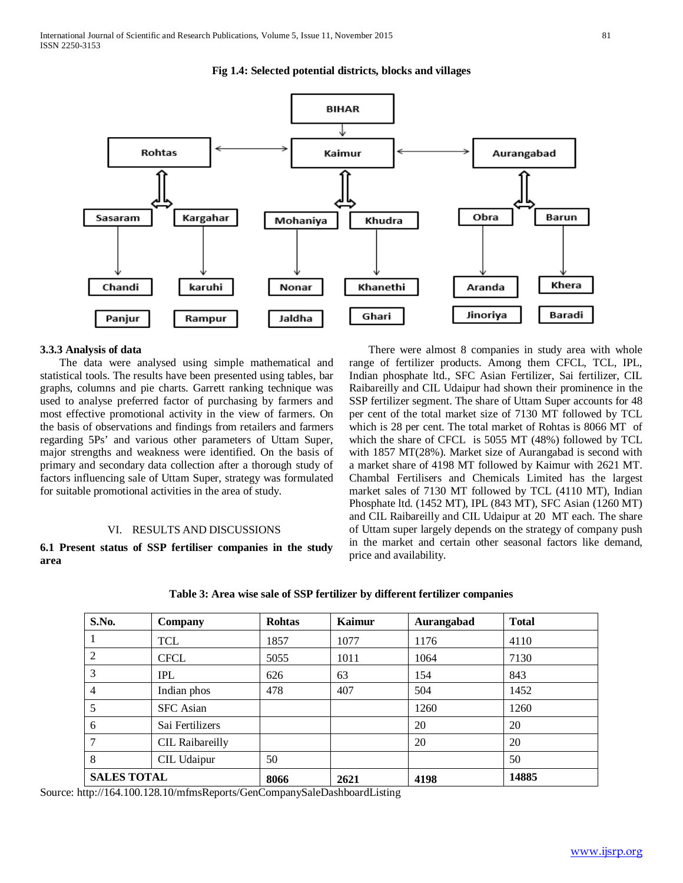

## **Fig 1.4: Selected potential districts, blocks and villages**

# **3.3.3 Analysis of data**

 The data were analysed using simple mathematical and statistical tools. The results have been presented using tables, bar graphs, columns and pie charts. Garrett ranking technique was used to analyse preferred factor of purchasing by farmers and most effective promotional activity in the view of farmers. On the basis of observations and findings from retailers and farmers regarding 5Ps' and various other parameters of Uttam Super*,* major strengths and weakness were identified. On the basis of primary and secondary data collection after a thorough study of factors influencing sale of Uttam Super, strategy was formulated for suitable promotional activities in the area of study.

## VI. RESULTS AND DISCUSSIONS

**6.1 Present status of SSP fertiliser companies in the study area**

 There were almost 8 companies in study area with whole range of fertilizer products. Among them CFCL, TCL, IPL, Indian phosphate ltd., SFC Asian Fertilizer, Sai fertilizer, CIL Raibareilly and CIL Udaipur had shown their prominence in the SSP fertilizer segment. The share of Uttam Super accounts for 48 per cent of the total market size of 7130 MT followed by TCL which is 28 per cent. The total market of Rohtas is 8066 MT of which the share of CFCL is 5055 MT (48%) followed by TCL with 1857 MT(28%). Market size of Aurangabad is second with a market share of 4198 MT followed by Kaimur with 2621 MT. Chambal Fertilisers and Chemicals Limited has the largest market sales of 7130 MT followed by TCL (4110 MT), Indian Phosphate ltd. (1452 MT), IPL (843 MT), SFC Asian (1260 MT) and CIL Raibareilly and CIL Udaipur at 20 MT each. The share of Uttam super largely depends on the strategy of company push in the market and certain other seasonal factors like demand, price and availability.

| S.No.              | Company                | <b>Rohtas</b> | Kaimur | Aurangabad | <b>Total</b> |
|--------------------|------------------------|---------------|--------|------------|--------------|
|                    | <b>TCL</b>             | 1857          | 1077   | 1176       | 4110         |
| 2                  | <b>CFCL</b>            | 5055          | 1011   | 1064       | 7130         |
| 3                  | <b>IPL</b>             | 626           | 63     | 154        | 843          |
| 4                  | Indian phos            | 478           | 407    | 504        | 1452         |
| 5                  | <b>SFC</b> Asian       |               |        | 1260       | 1260         |
| 6                  | Sai Fertilizers        |               |        | 20         | 20           |
| 7                  | <b>CIL Raibareilly</b> |               |        | 20         | 20           |
| 8                  | CIL Udaipur            | 50            |        |            | 50           |
| <b>SALES TOTAL</b> |                        | 8066          | 2621   | 4198       | 14885        |

**Table 3: Area wise sale of SSP fertilizer by different fertilizer companies**

Source: http://164.100.128.10/mfmsReports/GenCompanySaleDashboardListing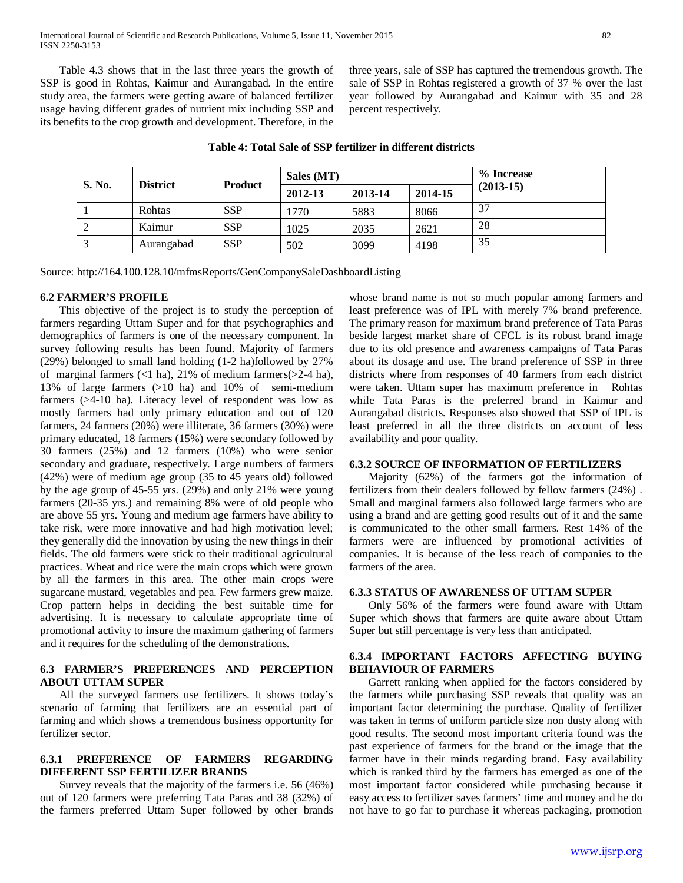Table 4.3 shows that in the last three years the growth of SSP is good in Rohtas, Kaimur and Aurangabad. In the entire study area, the farmers were getting aware of balanced fertilizer usage having different grades of nutrient mix including SSP and its benefits to the crop growth and development. Therefore, in the three years, sale of SSP has captured the tremendous growth. The sale of SSP in Rohtas registered a growth of 37 % over the last year followed by Aurangabad and Kaimur with 35 and 28 percent respectively.

| <b>S. No.</b><br><b>District</b> |            | <b>Product</b> | Sales (MT) |         | % Increase |             |
|----------------------------------|------------|----------------|------------|---------|------------|-------------|
|                                  |            |                | 2012-13    | 2013-14 | 2014-15    | $(2013-15)$ |
|                                  | Rohtas     | <b>SSP</b>     | 1770       | 5883    | 8066       | 37          |
| ∠                                | Kaimur     | <b>SSP</b>     | 1025       | 2035    | 2621       | 28          |
|                                  | Aurangabad | <b>SSP</b>     | 502        | 3099    | 4198       | 35          |

**Table 4: Total Sale of SSP fertilizer in different districts**

Source: http://164.100.128.10/mfmsReports/GenCompanySaleDashboardListing

# **6.2 FARMER'S PROFILE**

 This objective of the project is to study the perception of farmers regarding Uttam Super and for that psychographics and demographics of farmers is one of the necessary component. In survey following results has been found. Majority of farmers (29%) belonged to small land holding (1-2 ha)followed by 27% of marginal farmers  $\left($  < 1 ha), 21% of medium farmers $\left($  >2-4 ha), 13% of large farmers (>10 ha) and 10% of semi-medium farmers (>4-10 ha). Literacy level of respondent was low as mostly farmers had only primary education and out of 120 farmers, 24 farmers (20%) were illiterate, 36 farmers (30%) were primary educated, 18 farmers (15%) were secondary followed by 30 farmers (25%) and 12 farmers (10%) who were senior secondary and graduate, respectively. Large numbers of farmers (42%) were of medium age group (35 to 45 years old) followed by the age group of 45-55 yrs. (29%) and only 21% were young farmers (20-35 yrs.) and remaining 8% were of old people who are above 55 yrs. Young and medium age farmers have ability to take risk, were more innovative and had high motivation level; they generally did the innovation by using the new things in their fields. The old farmers were stick to their traditional agricultural practices. Wheat and rice were the main crops which were grown by all the farmers in this area. The other main crops were sugarcane mustard, vegetables and pea. Few farmers grew maize. Crop pattern helps in deciding the best suitable time for advertising. It is necessary to calculate appropriate time of promotional activity to insure the maximum gathering of farmers and it requires for the scheduling of the demonstrations.

# **6.3 FARMER'S PREFERENCES AND PERCEPTION ABOUT UTTAM SUPER**

 All the surveyed farmers use fertilizers. It shows today's scenario of farming that fertilizers are an essential part of farming and which shows a tremendous business opportunity for fertilizer sector.

# **6.3.1 PREFERENCE OF FARMERS REGARDING DIFFERENT SSP FERTILIZER BRANDS**

 Survey reveals that the majority of the farmers i.e. 56 (46%) out of 120 farmers were preferring Tata Paras and 38 (32%) of the farmers preferred Uttam Super followed by other brands whose brand name is not so much popular among farmers and least preference was of IPL with merely 7% brand preference. The primary reason for maximum brand preference of Tata Paras beside largest market share of CFCL is its robust brand image due to its old presence and awareness campaigns of Tata Paras about its dosage and use. The brand preference of SSP in three districts where from responses of 40 farmers from each district were taken. Uttam super has maximum preference in Rohtas while Tata Paras is the preferred brand in Kaimur and Aurangabad districts. Responses also showed that SSP of IPL is least preferred in all the three districts on account of less availability and poor quality.

# **6.3.2 SOURCE OF INFORMATION OF FERTILIZERS**

 Majority (62%) of the farmers got the information of fertilizers from their dealers followed by fellow farmers (24%) . Small and marginal farmers also followed large farmers who are using a brand and are getting good results out of it and the same is communicated to the other small farmers. Rest 14% of the farmers were are influenced by promotional activities of companies. It is because of the less reach of companies to the farmers of the area.

# **6.3.3 STATUS OF AWARENESS OF UTTAM SUPER**

 Only 56% of the farmers were found aware with Uttam Super which shows that farmers are quite aware about Uttam Super but still percentage is very less than anticipated.

# **6.3.4 IMPORTANT FACTORS AFFECTING BUYING BEHAVIOUR OF FARMERS**

 Garrett ranking when applied for the factors considered by the farmers while purchasing SSP reveals that quality was an important factor determining the purchase. Quality of fertilizer was taken in terms of uniform particle size non dusty along with good results. The second most important criteria found was the past experience of farmers for the brand or the image that the farmer have in their minds regarding brand. Easy availability which is ranked third by the farmers has emerged as one of the most important factor considered while purchasing because it easy access to fertilizer saves farmers' time and money and he do not have to go far to purchase it whereas packaging, promotion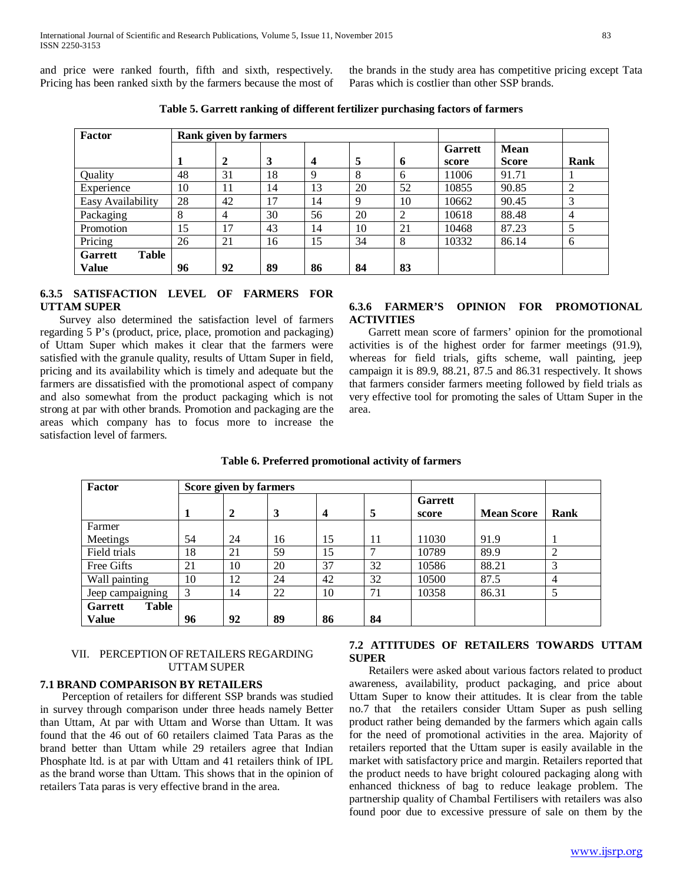and price were ranked fourth, fifth and sixth, respectively. Pricing has been ranked sixth by the farmers because the most of

the brands in the study area has competitive pricing except Tata Paras which is costlier than other SSP brands.

| Factor                         |    | <b>Rank given by farmers</b> |    |    |    |    |                |              |                |
|--------------------------------|----|------------------------------|----|----|----|----|----------------|--------------|----------------|
|                                |    |                              |    |    |    |    | <b>Garrett</b> | <b>Mean</b>  |                |
|                                |    | 2                            | 3  | 4  | 5  | 6  | score          | <b>Score</b> | Rank           |
| Quality                        | 48 | 31                           | 18 | 9  | 8  | 6  | 11006          | 91.71        |                |
| Experience                     | 10 | 11                           | 14 | 13 | 20 | 52 | 10855          | 90.85        | 2              |
| Easy Availability              | 28 | 42                           | 17 | 14 | 9  | 10 | 10662          | 90.45        | 3              |
| Packaging                      | 8  | 4                            | 30 | 56 | 20 | 2  | 10618          | 88.48        | $\overline{4}$ |
| Promotion                      | 15 | 17                           | 43 | 14 | 10 | 21 | 10468          | 87.23        |                |
| Pricing                        | 26 | 21                           | 16 | 15 | 34 | 8  | 10332          | 86.14        | 6              |
| <b>Table</b><br><b>Garrett</b> |    |                              |    |    |    |    |                |              |                |
| <b>Value</b>                   | 96 | 92                           | 89 | 86 | 84 | 83 |                |              |                |

**Table 5. Garrett ranking of different fertilizer purchasing factors of farmers**

# **6.3.5 SATISFACTION LEVEL OF FARMERS FOR UTTAM SUPER**

 Survey also determined the satisfaction level of farmers regarding 5 P's (product, price, place, promotion and packaging) of Uttam Super which makes it clear that the farmers were satisfied with the granule quality, results of Uttam Super in field, pricing and its availability which is timely and adequate but the farmers are dissatisfied with the promotional aspect of company and also somewhat from the product packaging which is not strong at par with other brands. Promotion and packaging are the areas which company has to focus more to increase the satisfaction level of farmers.

# **6.3.6 FARMER'S OPINION FOR PROMOTIONAL ACTIVITIES**

 Garrett mean score of farmers' opinion for the promotional activities is of the highest order for farmer meetings (91.9), whereas for field trials, gifts scheme, wall painting, jeep campaign it is 89.9, 88.21, 87.5 and 86.31 respectively. It shows that farmers consider farmers meeting followed by field trials as very effective tool for promoting the sales of Uttam Super in the area.

| <b>Factor</b>                  | Score given by farmers |    |    |                  |    |                |                   |      |
|--------------------------------|------------------------|----|----|------------------|----|----------------|-------------------|------|
|                                |                        |    |    |                  |    | <b>Garrett</b> |                   |      |
|                                | 1                      | 2  | 3  | $\boldsymbol{4}$ | 5  | score          | <b>Mean Score</b> | Rank |
| Farmer                         |                        |    |    |                  |    |                |                   |      |
| Meetings                       | 54                     | 24 | 16 | 15               | 11 | 11030          | 91.9              |      |
| Field trials                   | 18                     | 21 | 59 | 15               | 7  | 10789          | 89.9              | 2    |
| Free Gifts                     | 21                     | 10 | 20 | 37               | 32 | 10586          | 88.21             | 3    |
| Wall painting                  | 10                     | 12 | 24 | 42               | 32 | 10500          | 87.5              | 4    |
| Jeep campaigning               | 3                      | 14 | 22 | 10               | 71 | 10358          | 86.31             | 5    |
| <b>Table</b><br><b>Garrett</b> |                        |    |    |                  |    |                |                   |      |
| <b>Value</b>                   | 96                     | 92 | 89 | 86               | 84 |                |                   |      |
|                                |                        |    |    |                  |    |                |                   |      |

## **Table 6. Preferred promotional activity of farmers**

# VII. PERCEPTION OF RETAILERS REGARDING UTTAM SUPER

# **7.1 BRAND COMPARISON BY RETAILERS**

 Perception of retailers for different SSP brands was studied in survey through comparison under three heads namely Better than Uttam, At par with Uttam and Worse than Uttam. It was found that the 46 out of 60 retailers claimed Tata Paras as the brand better than Uttam while 29 retailers agree that Indian Phosphate ltd. is at par with Uttam and 41 retailers think of IPL as the brand worse than Uttam*.* This shows that in the opinion of retailers Tata paras is very effective brand in the area.

# **7.2 ATTITUDES OF RETAILERS TOWARDS UTTAM SUPER**

 Retailers were asked about various factors related to product awareness, availability, product packaging, and price about Uttam Super to know their attitudes. It is clear from the table no.7 that the retailers consider Uttam Super as push selling product rather being demanded by the farmers which again calls for the need of promotional activities in the area. Majority of retailers reported that the Uttam super is easily available in the market with satisfactory price and margin. Retailers reported that the product needs to have bright coloured packaging along with enhanced thickness of bag to reduce leakage problem. The partnership quality of Chambal Fertilisers with retailers was also found poor due to excessive pressure of sale on them by the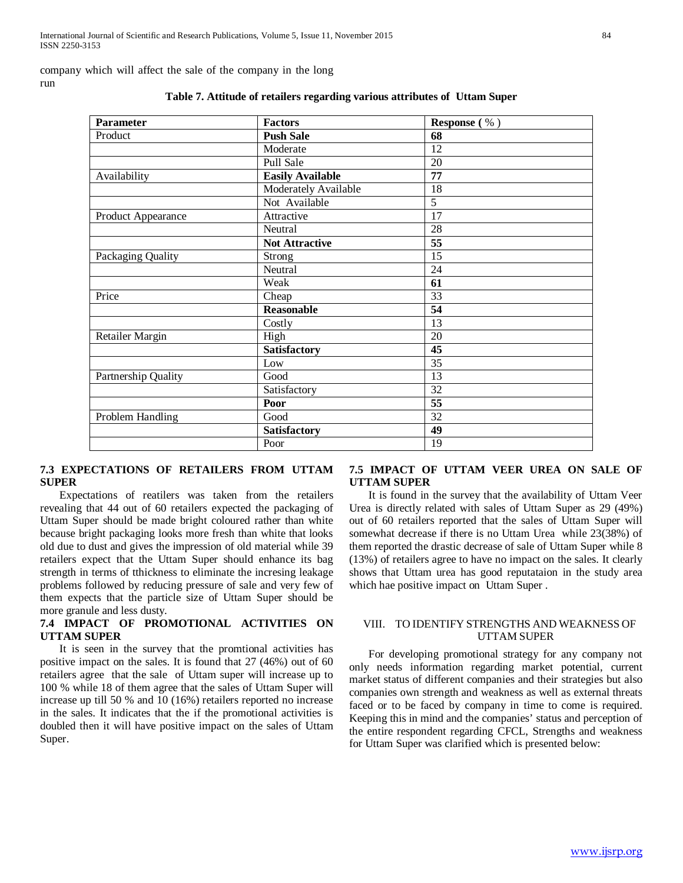company which will affect the sale of the company in the long run

| <b>Parameter</b>       | <b>Factors</b>          | Response (%)    |
|------------------------|-------------------------|-----------------|
| Product                | <b>Push Sale</b>        | 68              |
|                        | Moderate                | 12              |
|                        | Pull Sale               | 20              |
| Availability           | <b>Easily Available</b> | 77              |
|                        | Moderately Available    | 18              |
|                        | Not Available           | 5               |
| Product Appearance     | Attractive              | 17              |
|                        | Neutral                 | 28              |
|                        | <b>Not Attractive</b>   | 55              |
| Packaging Quality      | Strong                  | $\overline{15}$ |
|                        | Neutral                 | $\overline{24}$ |
|                        | Weak                    | 61              |
| Price                  | Cheap                   | 33              |
|                        | <b>Reasonable</b>       | $\overline{54}$ |
|                        | Costly                  | 13              |
| <b>Retailer Margin</b> | High                    | 20              |
|                        | <b>Satisfactory</b>     | 45              |
|                        | Low                     | 35              |
| Partnership Quality    | Good                    | 13              |
|                        | Satisfactory            | 32              |
|                        | Poor                    | 55              |
| Problem Handling       | Good                    | $\overline{32}$ |
|                        | <b>Satisfactory</b>     | 49              |
|                        | Poor                    | 19              |

|  |  |  |  |  |  |  | Table 7. Attitude of retailers regarding various attributes of Uttam Super |
|--|--|--|--|--|--|--|----------------------------------------------------------------------------|
|--|--|--|--|--|--|--|----------------------------------------------------------------------------|

# **7.3 EXPECTATIONS OF RETAILERS FROM UTTAM SUPER**

 Expectations of reatilers was taken from the retailers revealing that 44 out of 60 retailers expected the packaging of Uttam Super should be made bright coloured rather than white because bright packaging looks more fresh than white that looks old due to dust and gives the impression of old material while 39 retailers expect that the Uttam Super should enhance its bag strength in terms of tthickness to eliminate the incresing leakage problems followed by reducing pressure of sale and very few of them expects that the particle size of Uttam Super should be more granule and less dusty.

# **7.4 IMPACT OF PROMOTIONAL ACTIVITIES ON UTTAM SUPER**

 It is seen in the survey that the promtional activities has positive impact on the sales. It is found that 27 (46%) out of 60 retailers agree that the sale of Uttam super will increase up to 100 % while 18 of them agree that the sales of Uttam Super will increase up till 50 % and 10 (16%) retailers reported no increase in the sales. It indicates that the if the promotional activities is doubled then it will have positive impact on the sales of Uttam Super.

# **7.5 IMPACT OF UTTAM VEER UREA ON SALE OF UTTAM SUPER**

 It is found in the survey that the availability of Uttam Veer Urea is directly related with sales of Uttam Super as 29 (49%) out of 60 retailers reported that the sales of Uttam Super will somewhat decrease if there is no Uttam Urea while 23(38%) of them reported the drastic decrease of sale of Uttam Super while 8 (13%) of retailers agree to have no impact on the sales. It clearly shows that Uttam urea has good reputataion in the study area which hae positive impact on Uttam Super .

# VIII. TO IDENTIFY STRENGTHS AND WEAKNESS OF UTTAM SUPER

 For developing promotional strategy for any company not only needs information regarding market potential, current market status of different companies and their strategies but also companies own strength and weakness as well as external threats faced or to be faced by company in time to come is required. Keeping this in mind and the companies' status and perception of the entire respondent regarding CFCL, Strengths and weakness for Uttam Super was clarified which is presented below: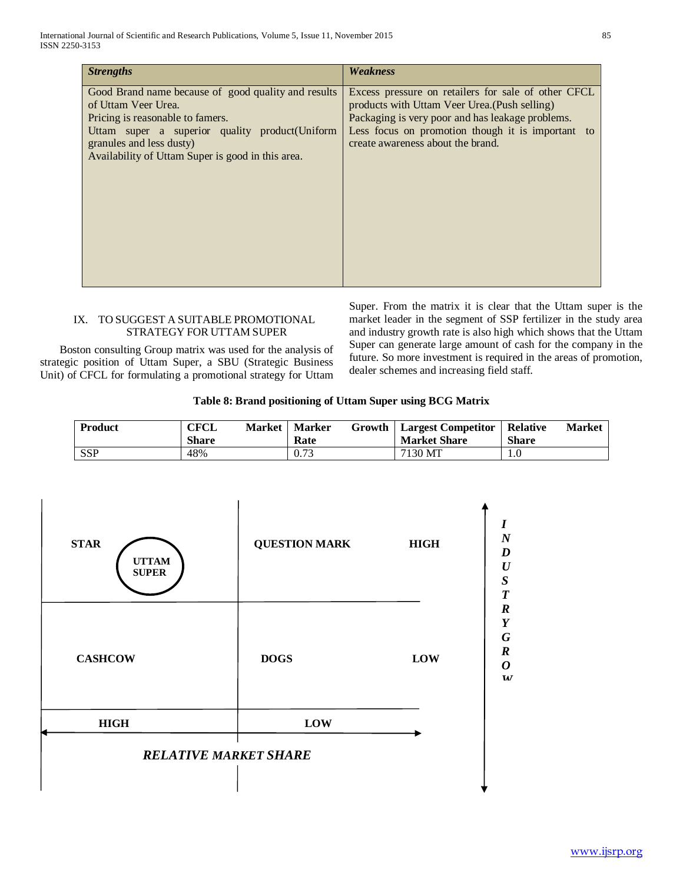| <b>Strengths</b>                                                                                                                                                                                                                                   | Weakness                                                                                                                                                                                                                                           |
|----------------------------------------------------------------------------------------------------------------------------------------------------------------------------------------------------------------------------------------------------|----------------------------------------------------------------------------------------------------------------------------------------------------------------------------------------------------------------------------------------------------|
| Good Brand name because of good quality and results<br>of Uttam Veer Urea.<br>Pricing is reasonable to famers.<br>Uttam super a superior quality product (Uniform<br>granules and less dusty)<br>Availability of Uttam Super is good in this area. | Excess pressure on retailers for sale of other CFCL<br>products with Uttam Veer Urea. (Push selling)<br>Packaging is very poor and has leakage problems.<br>Less focus on promotion though it is important to<br>create awareness about the brand. |

# IX. TO SUGGEST A SUITABLE PROMOTIONAL STRATEGY FOR UTTAM SUPER

 Boston consulting Group matrix was used for the analysis of strategic position of Uttam Super, a SBU (Strategic Business Unit) of CFCL for formulating a promotional strategy for Uttam Super. From the matrix it is clear that the Uttam super is the market leader in the segment of SSP fertilizer in the study area and industry growth rate is also high which shows that the Uttam Super can generate large amount of cash for the company in the future. So more investment is required in the areas of promotion, dealer schemes and increasing field staff.

| Table 8: Brand positioning of Uttam Super using BCG Matrix |  |  |  |  |  |  |
|------------------------------------------------------------|--|--|--|--|--|--|
|------------------------------------------------------------|--|--|--|--|--|--|

| Product                                     | <b>CFCL</b><br><b>Share</b>  | <b>Market</b> | <b>Marker</b><br>Rate | Growth | <b>Largest Competitor</b><br><b>Market Share</b> | <b>Relative</b><br><b>Share</b>                                                                                           | <b>Market</b> |
|---------------------------------------------|------------------------------|---------------|-----------------------|--------|--------------------------------------------------|---------------------------------------------------------------------------------------------------------------------------|---------------|
| <b>SSP</b>                                  | 48%                          |               | 0.73                  |        | 7130 MT                                          | $1.0\,$                                                                                                                   |               |
| <b>STAR</b><br><b>UTTAM</b><br><b>SUPER</b> |                              |               | <b>QUESTION MARK</b>  |        | <b>HIGH</b>                                      | I<br>$\boldsymbol{N}$<br>$\boldsymbol{D}$<br>$\boldsymbol{U}$<br>$\boldsymbol{S}$<br>$\boldsymbol{T}$<br>$\boldsymbol{R}$ |               |
| <b>CASHCOW</b>                              |                              |               | <b>DOGS</b>           |        | LOW                                              | $\boldsymbol{Y}$<br>$\boldsymbol{G}$<br>$\boldsymbol{R}$<br>$\boldsymbol{o}$<br>$\boldsymbol{W}$                          |               |
| HIGH                                        |                              |               | $_{\rm{LOW}}$         |        |                                                  |                                                                                                                           |               |
|                                             | <b>RELATIVE MARKET SHARE</b> |               |                       |        |                                                  |                                                                                                                           |               |
|                                             |                              |               |                       |        |                                                  |                                                                                                                           |               |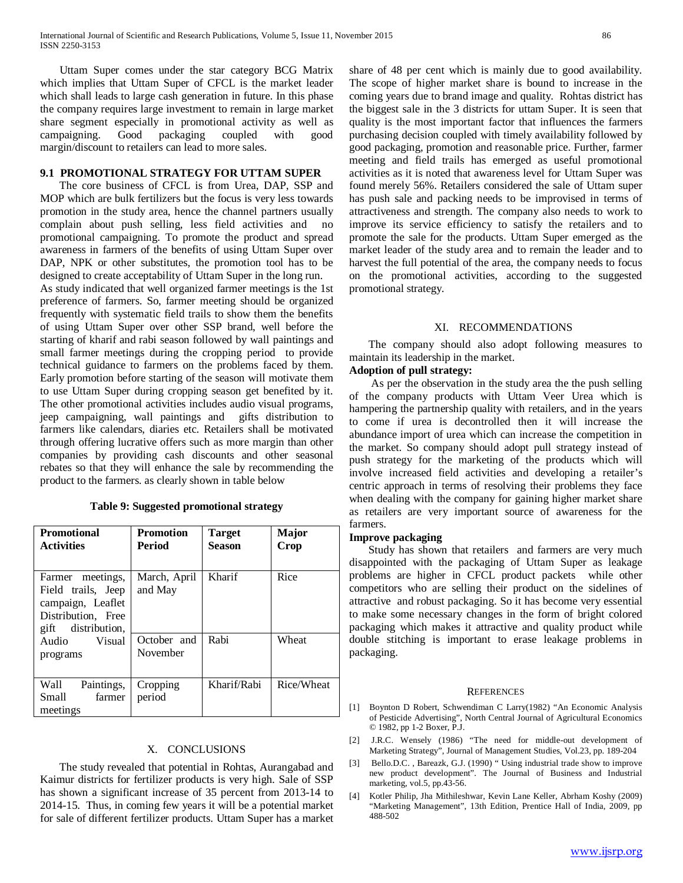Uttam Super comes under the star category BCG Matrix which implies that Uttam Super of CFCL is the market leader which shall leads to large cash generation in future. In this phase the company requires large investment to remain in large market share segment especially in promotional activity as well as campaigning. Good packaging coupled with good margin/discount to retailers can lead to more sales.

## **9.1 PROMOTIONAL STRATEGY FOR UTTAM SUPER**

 The core business of CFCL is from Urea, DAP, SSP and MOP which are bulk fertilizers but the focus is very less towards promotion in the study area, hence the channel partners usually complain about push selling, less field activities and no promotional campaigning. To promote the product and spread awareness in farmers of the benefits of using Uttam Super over DAP, NPK or other substitutes, the promotion tool has to be designed to create acceptability of Uttam Super in the long run.

As study indicated that well organized farmer meetings is the 1st preference of farmers. So, farmer meeting should be organized frequently with systematic field trails to show them the benefits of using Uttam Super over other SSP brand, well before the starting of kharif and rabi season followed by wall paintings and small farmer meetings during the cropping period to provide technical guidance to farmers on the problems faced by them. Early promotion before starting of the season will motivate them to use Uttam Super during cropping season get benefited by it. The other promotional activities includes audio visual programs, jeep campaigning, wall paintings and gifts distribution to farmers like calendars, diaries etc. Retailers shall be motivated through offering lucrative offers such as more margin than other companies by providing cash discounts and other seasonal rebates so that they will enhance the sale by recommending the product to the farmers. as clearly shown in table below

| <b>Promotional</b><br><b>Activities</b>                                                                       | <b>Promotion</b><br>Period | <b>Target</b><br><b>Season</b> | Major<br>Crop |
|---------------------------------------------------------------------------------------------------------------|----------------------------|--------------------------------|---------------|
| meetings,<br>Farmer<br>Field trails, Jeep<br>campaign, Leaflet<br>Distribution, Free<br>distribution,<br>gift | March, April<br>and May    | Kharif                         | Rice          |
| Audio<br>Visual<br>programs                                                                                   | October and<br>November    | Rabi                           | Wheat         |
| Wall<br>Paintings,<br>Small<br>farmer<br>meetings                                                             | Cropping<br>period         | Kharif/Rabi                    | Rice/Wheat    |

## X. CONCLUSIONS

 The study revealed that potential in Rohtas, Aurangabad and Kaimur districts for fertilizer products is very high. Sale of SSP has shown a significant increase of 35 percent from 2013-14 to 2014-15. Thus, in coming few years it will be a potential market for sale of different fertilizer products. Uttam Super has a market

share of 48 per cent which is mainly due to good availability. The scope of higher market share is bound to increase in the coming years due to brand image and quality. Rohtas district has the biggest sale in the 3 districts for uttam Super. It is seen that quality is the most important factor that influences the farmers purchasing decision coupled with timely availability followed by good packaging, promotion and reasonable price. Further, farmer meeting and field trails has emerged as useful promotional activities as it is noted that awareness level for Uttam Super was found merely 56%. Retailers considered the sale of Uttam super has push sale and packing needs to be improvised in terms of attractiveness and strength. The company also needs to work to improve its service efficiency to satisfy the retailers and to promote the sale for the products. Uttam Super emerged as the market leader of the study area and to remain the leader and to harvest the full potential of the area, the company needs to focus on the promotional activities, according to the suggested promotional strategy.

## XI. RECOMMENDATIONS

 The company should also adopt following measures to maintain its leadership in the market.

## **Adoption of pull strategy:**

 As per the observation in the study area the the push selling of the company products with Uttam Veer Urea which is hampering the partnership quality with retailers, and in the years to come if urea is decontrolled then it will increase the abundance import of urea which can increase the competition in the market. So company should adopt pull strategy instead of push strategy for the marketing of the products which will involve increased field activities and developing a retailer's centric approach in terms of resolving their problems they face when dealing with the company for gaining higher market share as retailers are very important source of awareness for the farmers.

## **Improve packaging**

 Study has shown that retailers and farmers are very much disappointed with the packaging of Uttam Super as leakage problems are higher in CFCL product packets while other competitors who are selling their product on the sidelines of attractive and robust packaging. So it has become very essential to make some necessary changes in the form of bright colored packaging which makes it attractive and quality product while double stitching is important to erase leakage problems in packaging.

#### **REFERENCES**

- [1] Boynton D Robert, Schwendiman C Larry(1982) "An Economic Analysis of Pesticide Advertising", North Central Journal of Agricultural Economics © 1982, pp 1-2 Boxer, P.J.
- [2] J.R.C. Wensely (1986) "The need for middle-out development of Marketing Strategy", Journal of Management Studies, Vol.23, pp. 189-204
- [3] Bello.D.C. , Bareazk, G.J. (1990) " Using industrial trade show to improve new product development". The Journal of Business and Industrial marketing, vol.5, pp.43-56.
- [4] Kotler Philip, Jha Mithileshwar, Kevin Lane Keller, Abrham Koshy (2009) "Marketing Management", 13th Edition, Prentice Hall of India, 2009, pp 488-502